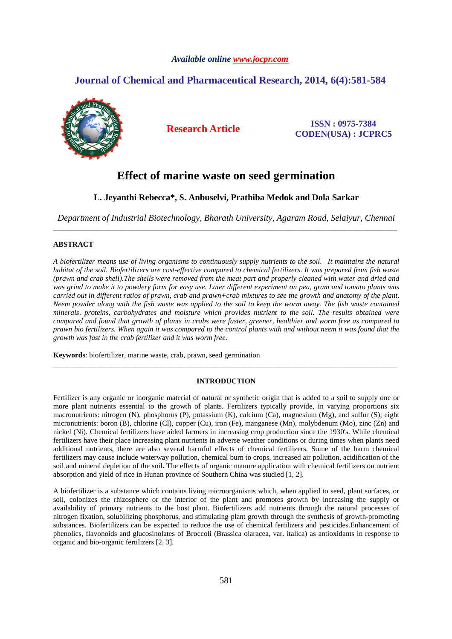# *Available online www.jocpr.com*

# **Journal of Chemical and Pharmaceutical Research, 2014, 6(4):581-584**



**Research Article ISSN : 0975-7384 CODEN(USA) : JCPRC5**

# **Effect of marine waste on seed germination**

# **L. Jeyanthi Rebecca\*, S. Anbuselvi, Prathiba Medok and Dola Sarkar**

*Department of Industrial Biotechnology, Bharath University, Agaram Road, Selaiyur, Chennai*  \_\_\_\_\_\_\_\_\_\_\_\_\_\_\_\_\_\_\_\_\_\_\_\_\_\_\_\_\_\_\_\_\_\_\_\_\_\_\_\_\_\_\_\_\_\_\_\_\_\_\_\_\_\_\_\_\_\_\_\_\_\_\_\_\_\_\_\_\_\_\_\_\_\_\_\_\_\_\_\_\_\_\_\_\_\_\_\_\_\_\_\_\_

## **ABSTRACT**

*A biofertilizer means use of living organisms to continuously supply nutrients to the soil. It maintains the natural habitat of the soil. Biofertilizers are cost-effective compared to chemical fertilizers. It was prepared from fish waste (prawn and crab shell).The shells were removed from the meat part and properly cleaned with water and dried and was grind to make it to powdery form for easy use. Later different experiment on pea, gram and tomato plants was carried out in different ratios of prawn, crab and prawn+crab mixtures to see the growth and anatomy of the plant. Neem powder along with the fish waste was applied to the soil to keep the worm away. The fish waste contained minerals, proteins, carbohydrates and moisture which provides nutrient to the soil. The results obtained were compared and found that growth of plants in crabs were faster, greener, healthier and worm free as compared to prawn bio fertilizers. When again it was compared to the control plants with and without neem it was found that the growth was fast in the crab fertilizer and it was worm free.* 

**Keywords**: biofertilizer, marine waste, crab, prawn, seed germination

### **INTRODUCTION**

\_\_\_\_\_\_\_\_\_\_\_\_\_\_\_\_\_\_\_\_\_\_\_\_\_\_\_\_\_\_\_\_\_\_\_\_\_\_\_\_\_\_\_\_\_\_\_\_\_\_\_\_\_\_\_\_\_\_\_\_\_\_\_\_\_\_\_\_\_\_\_\_\_\_\_\_\_\_\_\_\_\_\_\_\_\_\_\_\_\_\_\_\_

Fertilizer is any organic or inorganic material of natural or synthetic origin that is added to a soil to supply one or more plant nutrients essential to the growth of plants. Fertilizers typically provide, in varying proportions six macronutrients: nitrogen (N), phosphorus (P), potassium (K), calcium (Ca), magnesium (Mg), and sulfur (S); eight micronutrients: boron (B), chlorine (Cl), copper (Cu), iron (Fe), manganese (Mn), molybdenum (Mo), zinc (Zn) and nickel (Ni). Chemical fertilizers have aided farmers in increasing crop production since the 1930's. While chemical fertilizers have their place increasing plant nutrients in adverse weather conditions or during times when plants need additional nutrients, there are also several harmful effects of chemical fertilizers. Some of the harm chemical fertilizers may cause include waterway pollution, chemical burn to crops, increased air pollution, acidification of the soil and mineral depletion of the soil**.** The effects of organic manure application with chemical fertilizers on nutrient absorption and yield of rice in Hunan province of Southern China was studied [1, 2].

A biofertilizer is a substance which contains living microorganisms which, when applied to seed, plant surfaces, or soil, colonizes the rhizosphere or the interior of the plant and promotes growth by increasing the supply or availability of primary nutrients to the host plant. Biofertilizers add nutrients through the natural processes of nitrogen fixation, solubilizing phosphorus, and stimulating plant growth through the synthesis of growth-promoting substances. Biofertilizers can be expected to reduce the use of chemical fertilizers and pesticides.Enhancement of phenolics, flavonoids and glucosinolates of Broccoli (Brassica olaracea, var. italica) as antioxidants in response to organic and bio-organic fertilizers [2, 3].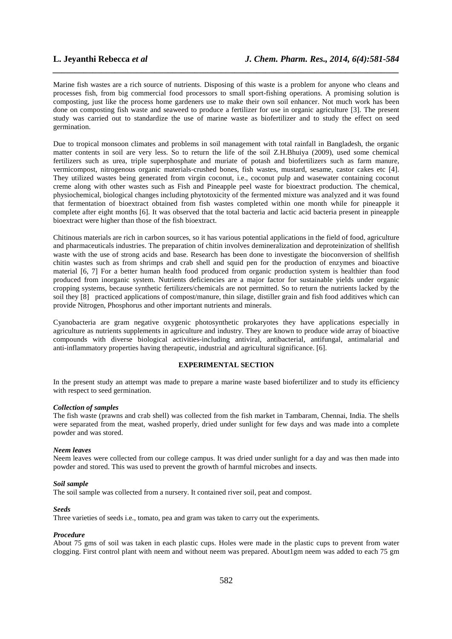Marine fish wastes are a rich source of nutrients. Disposing of this waste is a problem for anyone who cleans and processes fish, from big commercial food processors to small sport-fishing operations. A promising solution is composting, just like the process home gardeners use to make their own soil enhancer. Not much work has been done on composting fish waste and seaweed to produce a fertilizer for use in organic agriculture [3]. The present study was carried out to standardize the use of marine waste as biofertilizer and to study the effect on seed germination.

*\_\_\_\_\_\_\_\_\_\_\_\_\_\_\_\_\_\_\_\_\_\_\_\_\_\_\_\_\_\_\_\_\_\_\_\_\_\_\_\_\_\_\_\_\_\_\_\_\_\_\_\_\_\_\_\_\_\_\_\_\_\_\_\_\_\_\_\_\_\_\_\_\_\_\_\_\_\_*

Due to tropical monsoon climates and problems in soil management with total rainfall in Bangladesh, the organic matter contents in soil are very less. So to return the life of the soil Z.H.Bhuiya (2009), used some chemical fertilizers such as urea, triple superphosphate and muriate of potash and biofertilizers such as farm manure, vermicompost, nitrogenous organic materials-crushed bones, fish wastes, mustard, sesame, castor cakes etc [4]. They utilized wastes being generated from virgin coconut, i.e., coconut pulp and wasewater containing coconut creme along with other wastes such as Fish and Pineapple peel waste for bioextract production. The chemical, physiochemical, biological changes including phytotoxicity of the fermented mixture was analyzed and it was found that fermentation of bioextract obtained from fish wastes completed within one month while for pineapple it complete after eight months [6]. It was observed that the total bacteria and lactic acid bacteria present in pineapple bioextract were higher than those of the fish bioextract.

Chitinous materials are rich in carbon sources, so it has various potential applications in the field of food, agriculture and pharmaceuticals industries. The preparation of chitin involves demineralization and deproteinization of shellfish waste with the use of strong acids and base. Research has been done to investigate the bioconversion of shellfish chitin wastes such as from shrimps and crab shell and squid pen for the production of enzymes and bioactive material [6, 7] For a better human health food produced from organic production system is healthier than food produced from inorganic system. Nutrients deficiencies are a major factor for sustainable yields under organic cropping systems, because synthetic fertilizers/chemicals are not permitted. So to return the nutrients lacked by the soil they [8] practiced applications of compost/manure, thin silage, distiller grain and fish food additives which can provide Nitrogen, Phosphorus and other important nutrients and minerals.

Cyanobacteria are gram negative oxygenic photosynthetic prokaryotes they have applications especially in agriculture as nutrients supplements in agriculture and industry. They are known to produce wide array of bioactive compounds with diverse biological activities-including antiviral, antibacterial, antifungal, antimalarial and anti-inflammatory properties having therapeutic, industrial and agricultural significance. [6].

## **EXPERIMENTAL SECTION**

In the present study an attempt was made to prepare a marine waste based biofertilizer and to study its efficiency with respect to seed germination.

#### *Collection of samples*

The fish waste (prawns and crab shell) was collected from the fish market in Tambaram, Chennai, India. The shells were separated from the meat, washed properly, dried under sunlight for few days and was made into a complete powder and was stored.

#### *Neem leaves*

Neem leaves were collected from our college campus. It was dried under sunlight for a day and was then made into powder and stored. This was used to prevent the growth of harmful microbes and insects.

### *Soil sample*

The soil sample was collected from a nursery. It contained river soil, peat and compost.

### *Seeds*

Three varieties of seeds i.e., tomato, pea and gram was taken to carry out the experiments.

### *Procedure*

About 75 gms of soil was taken in each plastic cups. Holes were made in the plastic cups to prevent from water clogging. First control plant with neem and without neem was prepared. About1gm neem was added to each 75 gm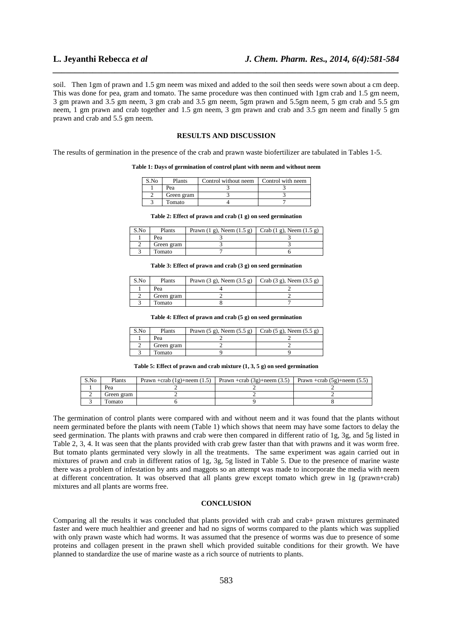soil. Then 1gm of prawn and 1.5 gm neem was mixed and added to the soil then seeds were sown about a cm deep. This was done for pea, gram and tomato. The same procedure was then continued with 1gm crab and 1.5 gm neem, 3 gm prawn and 3.5 gm neem, 3 gm crab and 3.5 gm neem, 5gm prawn and 5.5gm neem, 5 gm crab and 5.5 gm neem, 1 gm prawn and crab together and 1.5 gm neem, 3 gm prawn and crab and 3.5 gm neem and finally 5 gm prawn and crab and 5.5 gm neem.

*\_\_\_\_\_\_\_\_\_\_\_\_\_\_\_\_\_\_\_\_\_\_\_\_\_\_\_\_\_\_\_\_\_\_\_\_\_\_\_\_\_\_\_\_\_\_\_\_\_\_\_\_\_\_\_\_\_\_\_\_\_\_\_\_\_\_\_\_\_\_\_\_\_\_\_\_\_\_*

#### **RESULTS AND DISCUSSION**

The results of germination in the presence of the crab and prawn waste biofertilizer are tabulated in Tables 1-5.

**Table 1: Days of germination of control plant with neem and without neem** 

| S.No | Plants     | Control without neem | Control with neem |
|------|------------|----------------------|-------------------|
|      | Pea        |                      |                   |
|      | Green gram |                      |                   |
|      | Tomato     |                      |                   |

**Table 2: Effect of prawn and crab (1 g) on seed germination** 

| S.No | Plants     | Prawn (1 g), Neem (1.5 g)   Crab (1 g), Neem (1.5 g) |  |
|------|------------|------------------------------------------------------|--|
|      | Pea        |                                                      |  |
|      | Green gram |                                                      |  |
|      | Tomato     |                                                      |  |

**Table 3: Effect of prawn and crab (3 g) on seed germination** 

| S.No | Plants     | Prawn (3 g), Neem (3.5 g) $\vert$ Crab (3 g), Neem (3.5 g) |  |
|------|------------|------------------------------------------------------------|--|
|      | Pea        |                                                            |  |
|      | Green gram |                                                            |  |
|      | Tomato     |                                                            |  |

**Table 4: Effect of prawn and crab (5 g) on seed germination** 

| S.No | Plants     | Prawn (5 g), Neem (5.5 g)   Crab (5 g), Neem (5.5 g) |  |
|------|------------|------------------------------------------------------|--|
|      | Pea        |                                                      |  |
|      | Green gram |                                                      |  |
|      | Tomato     |                                                      |  |

**Table 5: Effect of prawn and crab mixture (1, 3, 5 g) on seed germination** 

| S.No | Plants     | Prawn +crab $(1g)$ +neem $(1.5)$ | Prawn +crab $(3g)$ +neem $(3.5)$ Prawn +crab $(5g)$ +neem $(5.5)$ |  |
|------|------------|----------------------------------|-------------------------------------------------------------------|--|
|      | Pea        |                                  |                                                                   |  |
|      | Green gram |                                  |                                                                   |  |
|      | Tomato     |                                  |                                                                   |  |

The germination of control plants were compared with and without neem and it was found that the plants without neem germinated before the plants with neem (Table 1) which shows that neem may have some factors to delay the seed germination. The plants with prawns and crab were then compared in different ratio of 1g, 3g, and 5g listed in Table 2, 3, 4. It was seen that the plants provided with crab grew faster than that with prawns and it was worm free. But tomato plants germinated very slowly in all the treatments. The same experiment was again carried out in mixtures of prawn and crab in different ratios of 1g, 3g, 5g listed in Table 5. Due to the presence of marine waste there was a problem of infestation by ants and maggots so an attempt was made to incorporate the media with neem at different concentration. It was observed that all plants grew except tomato which grew in 1g (prawn+crab) mixtures and all plants are worms free.

## **CONCLUSION**

Comparing all the results it was concluded that plants provided with crab and crab+ prawn mixtures germinated faster and were much healthier and greener and had no signs of worms compared to the plants which was supplied with only prawn waste which had worms. It was assumed that the presence of worms was due to presence of some proteins and collagen present in the prawn shell which provided suitable conditions for their growth. We have planned to standardize the use of marine waste as a rich source of nutrients to plants.